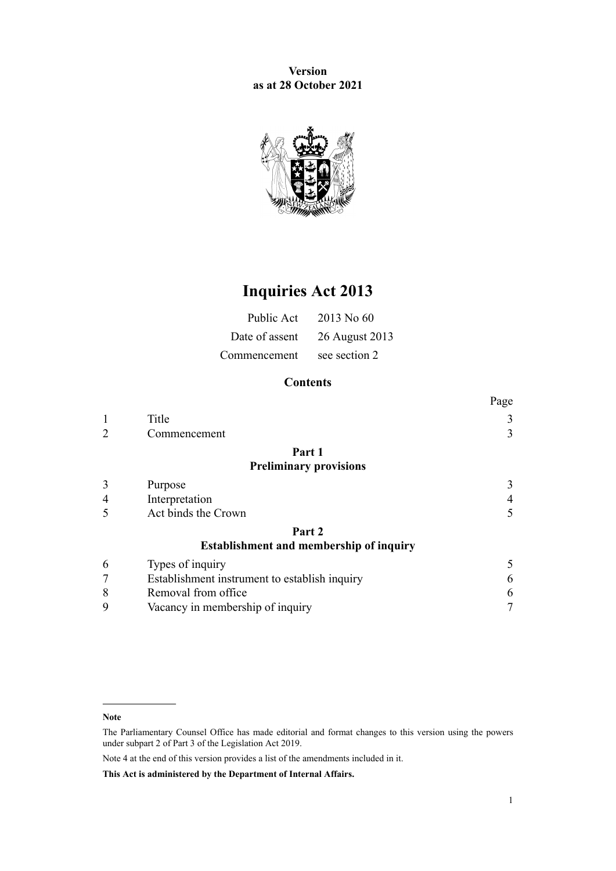**Version as at 28 October 2021**



# **Inquiries Act 2013**

|              | Public Act $2013$ No 60       |
|--------------|-------------------------------|
|              | Date of assent 26 August 2013 |
| Commencement | see section 2                 |

# **Contents**

|                |                                                | Page |
|----------------|------------------------------------------------|------|
|                | Title                                          | 3    |
| $\overline{2}$ | Commencement                                   | 3    |
|                | Part 1                                         |      |
|                | <b>Preliminary provisions</b>                  |      |
| 3              | Purpose                                        | 3    |
| 4              | Interpretation                                 | 4    |
| 5              | Act binds the Crown                            |      |
|                | Part 2                                         |      |
|                | <b>Establishment and membership of inquiry</b> |      |
| 6              | Types of inquiry                               | 5    |
| 7              | Establishment instrument to establish inquiry  | 6    |
| 8              | Removal from office                            | 6    |
| 9              | Vacancy in membership of inquiry               |      |
|                |                                                |      |

Note 4 at the end of this version provides a list of the amendments included in it.

**This Act is administered by the Department of Internal Affairs.**

**Note**

The Parliamentary Counsel Office has made editorial and format changes to this version using the powers under [subpart 2](http://legislation.govt.nz/pdflink.aspx?id=DLM7298371) of Part 3 of the Legislation Act 2019.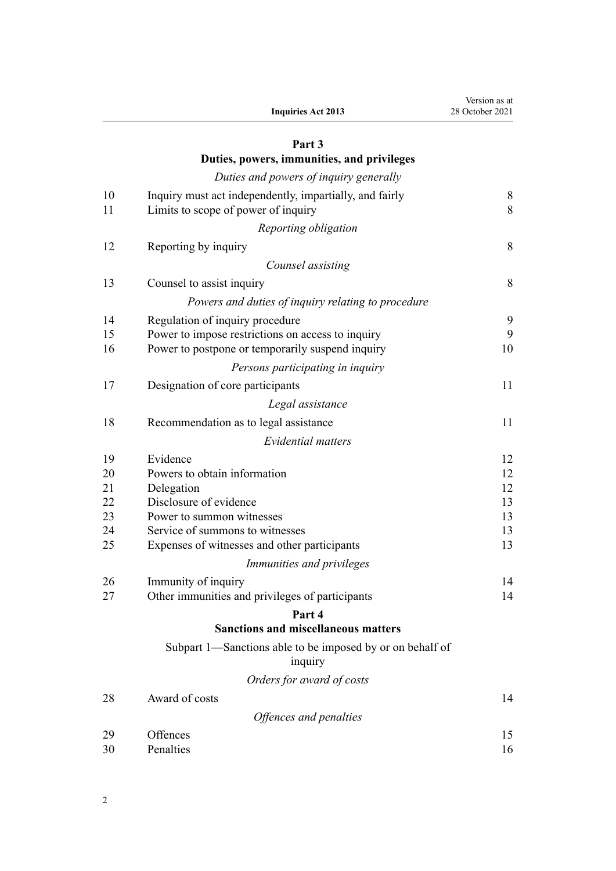| Version as at   |
|-----------------|
| 28 October 2021 |

# **[Part 3](#page-7-0)**

# **[Duties, powers, immunities, and privileges](#page-7-0)**

|    | Duties and powers of inquiry generally                    |       |
|----|-----------------------------------------------------------|-------|
| 10 | Inquiry must act independently, impartially, and fairly   | $8\,$ |
| 11 | Limits to scope of power of inquiry                       | 8     |
|    | Reporting obligation                                      |       |
|    |                                                           |       |
| 12 | Reporting by inquiry                                      | 8     |
|    | Counsel assisting                                         |       |
| 13 | Counsel to assist inquiry                                 | 8     |
|    | Powers and duties of inquiry relating to procedure        |       |
| 14 | Regulation of inquiry procedure                           | 9     |
| 15 | Power to impose restrictions on access to inquiry         | 9     |
| 16 | Power to postpone or temporarily suspend inquiry          | 10    |
|    | Persons participating in inquiry                          |       |
| 17 | Designation of core participants                          | 11    |
|    | Legal assistance                                          |       |
| 18 | Recommendation as to legal assistance                     | 11    |
|    | <b>Evidential matters</b>                                 |       |
| 19 | Evidence                                                  | 12    |
| 20 | Powers to obtain information                              | 12    |
| 21 | Delegation                                                | 12    |
| 22 | Disclosure of evidence                                    | 13    |
| 23 | Power to summon witnesses                                 | 13    |
| 24 | Service of summons to witnesses                           | 13    |
| 25 | Expenses of witnesses and other participants              | 13    |
|    | Immunities and privileges                                 |       |
| 26 | Immunity of inquiry                                       | 14    |
| 27 | Other immunities and privileges of participants           | 14    |
|    | Part 4                                                    |       |
|    | <b>Sanctions and miscellaneous matters</b>                |       |
|    | Subpart 1—Sanctions able to be imposed by or on behalf of |       |
|    | inquiry                                                   |       |
|    | Orders for award of costs                                 |       |
| 28 | Award of costs                                            | 14    |
|    | Offences and penalties                                    |       |
| 29 | Offences                                                  | 15    |
| 30 | Penalties                                                 | 16    |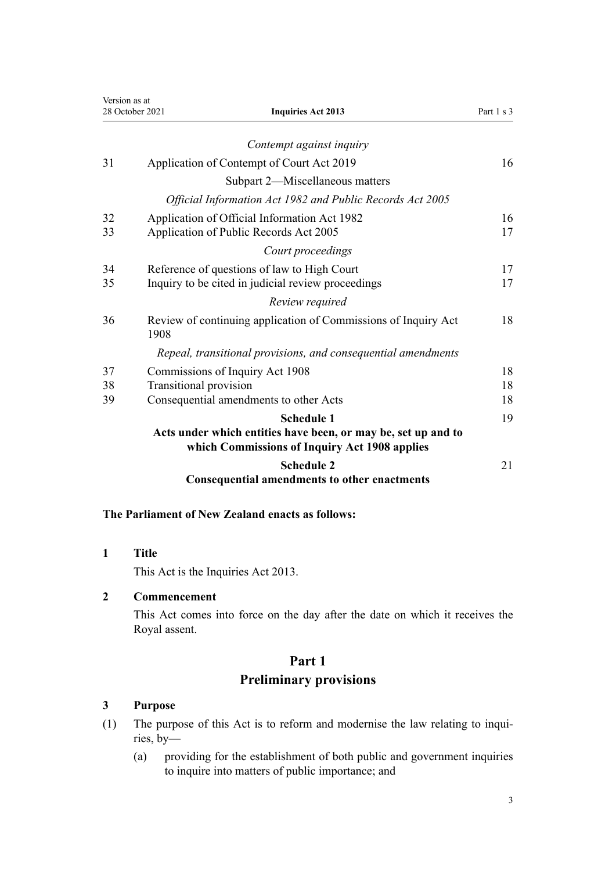<span id="page-2-0"></span>

| Version as at<br>28 October 2021 |                        | <b>Inquiries Act 2013</b>                                                                                                           | Part 1 s 3 |
|----------------------------------|------------------------|-------------------------------------------------------------------------------------------------------------------------------------|------------|
|                                  |                        |                                                                                                                                     |            |
|                                  |                        | Contempt against inquiry                                                                                                            |            |
| 31                               |                        | Application of Contempt of Court Act 2019                                                                                           | 16         |
|                                  |                        | Subpart 2-Miscellaneous matters                                                                                                     |            |
|                                  |                        | Official Information Act 1982 and Public Records Act 2005                                                                           |            |
| 32<br>33                         |                        | Application of Official Information Act 1982<br>Application of Public Records Act 2005                                              | 16<br>17   |
|                                  |                        | Court proceedings                                                                                                                   |            |
| 34                               |                        | Reference of questions of law to High Court                                                                                         | 17         |
| 35                               |                        | Inquiry to be cited in judicial review proceedings                                                                                  | 17         |
|                                  |                        | Review required                                                                                                                     |            |
| 36                               | 1908                   | Review of continuing application of Commissions of Inquiry Act                                                                      | 18         |
|                                  |                        | Repeal, transitional provisions, and consequential amendments                                                                       |            |
| 37                               |                        | Commissions of Inquiry Act 1908                                                                                                     | 18         |
| 38                               | Transitional provision |                                                                                                                                     | 18         |
| 39                               |                        | Consequential amendments to other Acts                                                                                              | 18         |
|                                  |                        | <b>Schedule 1</b><br>Acts under which entities have been, or may be, set up and to<br>which Commissions of Inquiry Act 1908 applies | 19         |
|                                  |                        | <b>Schedule 2</b><br><b>Consequential amendments to other enactments</b>                                                            | 21         |

#### **The Parliament of New Zealand enacts as follows:**

**1 Title**

This Act is the Inquiries Act 2013.

#### **2 Commencement**

This Act comes into force on the day after the date on which it receives the Royal assent.

# **Part 1 Preliminary provisions**

#### **3 Purpose**

- (1) The purpose of this Act is to reform and modernise the law relating to inquiries, by—
	- (a) providing for the establishment of both public and government inquiries to inquire into matters of public importance; and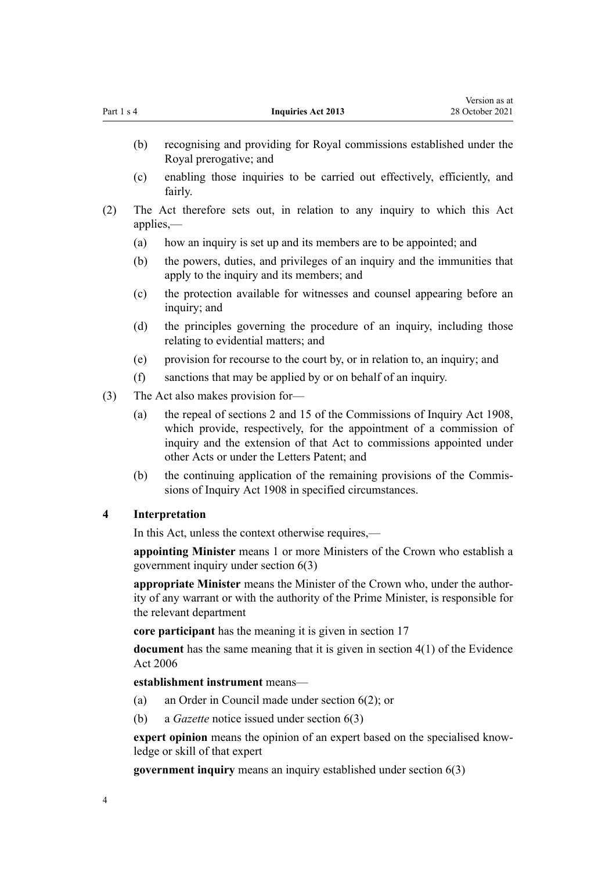<span id="page-3-0"></span>

|                                                                                                 |     |                                                                                                                       | Version as at   |
|-------------------------------------------------------------------------------------------------|-----|-----------------------------------------------------------------------------------------------------------------------|-----------------|
| Part 1 s 4                                                                                      |     | <b>Inquiries Act 2013</b>                                                                                             | 28 October 2021 |
|                                                                                                 | (b) | recognising and providing for Royal commissions established under the<br>Royal prerogative; and                       |                 |
|                                                                                                 | (c) | enabling those inquiries to be carried out effectively, efficiently, and<br>fairly.                                   |                 |
| The Act therefore sets out, in relation to any inquiry to which this Act<br>(2)<br>$applies,$ — |     |                                                                                                                       |                 |
|                                                                                                 | (a) | how an inquiry is set up and its members are to be appointed; and                                                     |                 |
|                                                                                                 | (b) | the powers, duties, and privileges of an inquiry and the immunities that<br>apply to the inquiry and its members; and |                 |
|                                                                                                 | (c) | the protection available for witnesses and counsel appearing before an<br>inquiry; and                                |                 |
|                                                                                                 | (d) | the principles governing the procedure of an inquiry, including those<br>relating to evidential matters; and          |                 |
|                                                                                                 | (e) | provision for recourse to the court by, or in relation to, an inquiry; and                                            |                 |
|                                                                                                 | (f) | sanctions that may be applied by or on behalf of an inquiry.                                                          |                 |

- (3) The Act also makes provision for—
	- (a) the repeal of [sections 2](http://legislation.govt.nz/pdflink.aspx?id=DLM139140) and [15](http://legislation.govt.nz/pdflink.aspx?id=DLM139193) of the Commissions of Inquiry Act 1908, which provide, respectively, for the appointment of a commission of inquiry and the extension of that Act to commissions appointed under other Acts or under the Letters Patent; and
	- (b) the continuing application of the remaining provisions of the [Commis‐](http://legislation.govt.nz/pdflink.aspx?id=DLM139130) [sions of Inquiry Act 1908](http://legislation.govt.nz/pdflink.aspx?id=DLM139130) in specified circumstances.

#### **4 Interpretation**

In this Act, unless the context otherwise requires,—

**appointing Minister** means 1 or more Ministers of the Crown who establish a government inquiry under [section 6\(3\)](#page-4-0)

**appropriate Minister** means the Minister of the Crown who, under the author‐ ity of any warrant or with the authority of the Prime Minister, is responsible for the relevant department

**core participant** has the meaning it is given in [section 17](#page-10-0)

**document** has the same meaning that it is given in [section 4\(1\)](http://legislation.govt.nz/pdflink.aspx?id=DLM393471) of the Evidence Act 2006

#### **establishment instrument** means—

- (a) an Order in Council made under [section 6\(2\)](#page-4-0); or
- (b) a *Gazette* notice issued under [section 6\(3\)](#page-4-0)

**expert opinion** means the opinion of an expert based on the specialised knowledge or skill of that expert

**government inquiry** means an inquiry established under [section 6\(3\)](#page-4-0)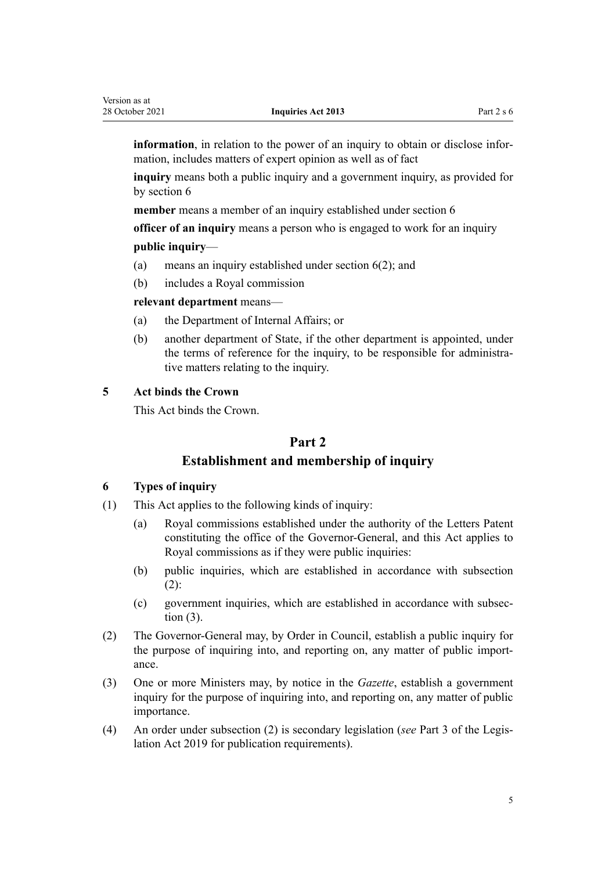<span id="page-4-0"></span>**information**, in relation to the power of an inquiry to obtain or disclose information, includes matters of expert opinion as well as of fact

**inquiry** means both a public inquiry and a government inquiry, as provided for by section 6

**member** means a member of an inquiry established under section 6

**officer of an inquiry** means a person who is engaged to work for an inquiry

#### **public inquiry**—

- (a) means an inquiry established under section 6(2); and
- (b) includes a Royal commission

**relevant department** means—

- (a) the Department of Internal Affairs; or
- (b) another department of State, if the other department is appointed, under the terms of reference for the inquiry, to be responsible for administrative matters relating to the inquiry.

#### **5 Act binds the Crown**

This Act binds the Crown.

# **Part 2**

# **Establishment and membership of inquiry**

#### **6 Types of inquiry**

- (1) This Act applies to the following kinds of inquiry:
	- (a) Royal commissions established under the authority of the Letters Patent constituting the office of the Governor-General, and this Act applies to Royal commissions as if they were public inquiries:
	- (b) public inquiries, which are established in accordance with subsection  $(2)$ :
	- (c) government inquiries, which are established in accordance with subsec‐ tion (3).
- (2) The Governor-General may, by Order in Council, establish a public inquiry for the purpose of inquiring into, and reporting on, any matter of public importance.
- (3) One or more Ministers may, by notice in the *Gazette*, establish a government inquiry for the purpose of inquiring into, and reporting on, any matter of public importance.
- (4) An order under subsection (2) is secondary legislation (*see* [Part 3](http://legislation.govt.nz/pdflink.aspx?id=DLM7298343) of the Legis‐ lation Act 2019 for publication requirements).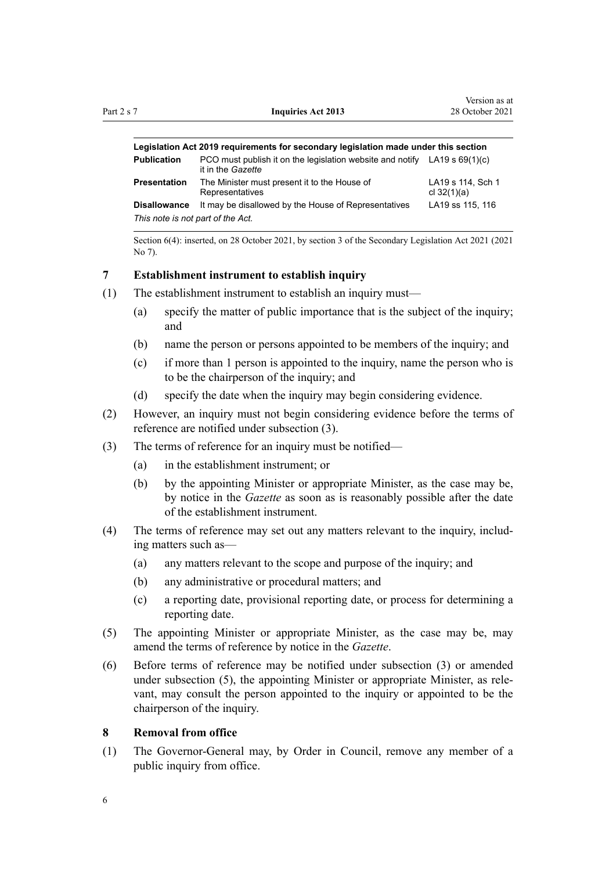<span id="page-5-0"></span>

| Legislation Act 2019 requirements for secondary legislation made under this section |                                                                                                  |                                    |  |
|-------------------------------------------------------------------------------------|--------------------------------------------------------------------------------------------------|------------------------------------|--|
| <b>Publication</b>                                                                  | PCO must publish it on the legislation website and notify $LA19 s 69(1)(c)$<br>it in the Gazette |                                    |  |
| <b>Presentation</b>                                                                 | The Minister must present it to the House of<br>Representatives                                  | LA19 s 114, Sch 1<br>cl $32(1)(a)$ |  |
| <b>Disallowance</b>                                                                 | It may be disallowed by the House of Representatives                                             | LA19 ss 115, 116                   |  |
| This note is not part of the Act.                                                   |                                                                                                  |                                    |  |

Section 6(4): inserted, on 28 October 2021, by [section 3](http://legislation.govt.nz/pdflink.aspx?id=LMS268932) of the Secondary Legislation Act 2021 (2021 No 7).

#### **7 Establishment instrument to establish inquiry**

- (1) The establishment instrument to establish an inquiry must—
	- (a) specify the matter of public importance that is the subject of the inquiry; and
	- (b) name the person or persons appointed to be members of the inquiry; and
	- (c) if more than 1 person is appointed to the inquiry, name the person who is to be the chairperson of the inquiry; and
	- (d) specify the date when the inquiry may begin considering evidence.
- (2) However, an inquiry must not begin considering evidence before the terms of reference are notified under subsection (3).
- (3) The terms of reference for an inquiry must be notified—
	- (a) in the establishment instrument; or
	- (b) by the appointing Minister or appropriate Minister, as the case may be, by notice in the *Gazette* as soon as is reasonably possible after the date of the establishment instrument.
- (4) The terms of reference may set out any matters relevant to the inquiry, includ‐ ing matters such as—
	- (a) any matters relevant to the scope and purpose of the inquiry; and
	- (b) any administrative or procedural matters; and
	- (c) a reporting date, provisional reporting date, or process for determining a reporting date.
- (5) The appointing Minister or appropriate Minister, as the case may be, may amend the terms of reference by notice in the *Gazette*.
- (6) Before terms of reference may be notified under subsection (3) or amended under subsection (5), the appointing Minister or appropriate Minister, as relevant, may consult the person appointed to the inquiry or appointed to be the chairperson of the inquiry.

#### **8 Removal from office**

(1) The Governor-General may, by Order in Council, remove any member of a public inquiry from office.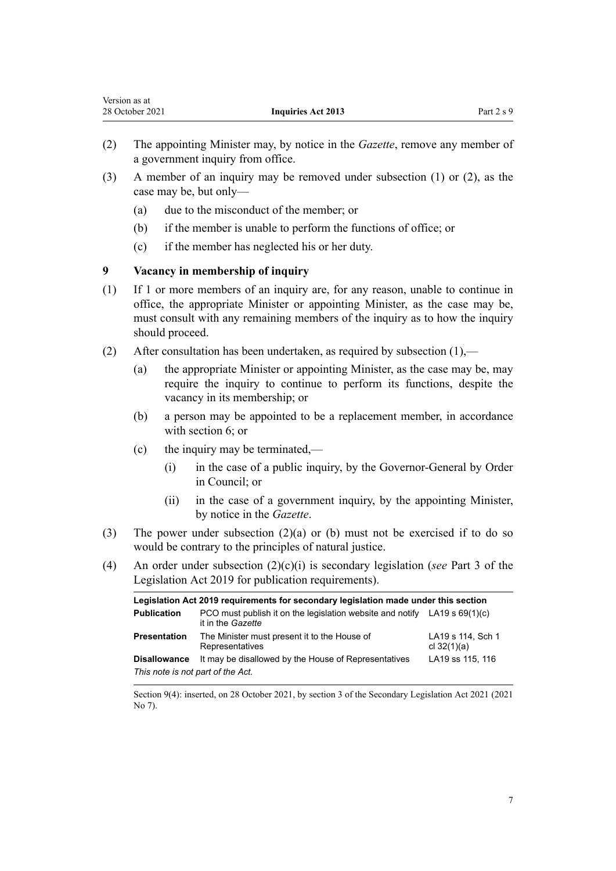- <span id="page-6-0"></span>(2) The appointing Minister may, by notice in the *Gazette*, remove any member of a government inquiry from office.
- (3) A member of an inquiry may be removed under subsection (1) or (2), as the case may be, but only—
	- (a) due to the misconduct of the member; or
	- (b) if the member is unable to perform the functions of office; or
	- (c) if the member has neglected his or her duty.

#### **9 Vacancy in membership of inquiry**

- (1) If 1 or more members of an inquiry are, for any reason, unable to continue in office, the appropriate Minister or appointing Minister, as the case may be, must consult with any remaining members of the inquiry as to how the inquiry should proceed.
- (2) After consultation has been undertaken, as required by subsection  $(1)$ ,—
	- (a) the appropriate Minister or appointing Minister, as the case may be, may require the inquiry to continue to perform its functions, despite the vacancy in its membership; or
	- (b) a person may be appointed to be a replacement member, in accordance with [section 6;](#page-4-0) or
	- (c) the inquiry may be terminated,—
		- (i) in the case of a public inquiry, by the Governor-General by Order in Council; or
		- (ii) in the case of a government inquiry, by the appointing Minister, by notice in the *Gazette*.
- (3) The power under subsection  $(2)(a)$  or (b) must not be exercised if to do so would be contrary to the principles of natural justice.
- (4) An order under subsection (2)(c)(i) is secondary legislation (*see* [Part 3](http://legislation.govt.nz/pdflink.aspx?id=DLM7298343) of the Legislation Act 2019 for publication requirements).

| Legislation Act 2019 requirements for secondary legislation made under this section |                                                                                                  |                                    |  |
|-------------------------------------------------------------------------------------|--------------------------------------------------------------------------------------------------|------------------------------------|--|
| <b>Publication</b>                                                                  | PCO must publish it on the legislation website and notify LA19 s $69(1)(c)$<br>it in the Gazette |                                    |  |
| <b>Presentation</b>                                                                 | The Minister must present it to the House of<br>Representatives                                  | LA19 s 114, Sch 1<br>cl $32(1)(a)$ |  |
| <b>Disallowance</b>                                                                 | It may be disallowed by the House of Representatives                                             | LA19 ss 115, 116                   |  |
| This note is not part of the Act.                                                   |                                                                                                  |                                    |  |

Section 9(4): inserted, on 28 October 2021, by [section 3](http://legislation.govt.nz/pdflink.aspx?id=LMS268932) of the Secondary Legislation Act 2021 (2021 No 7).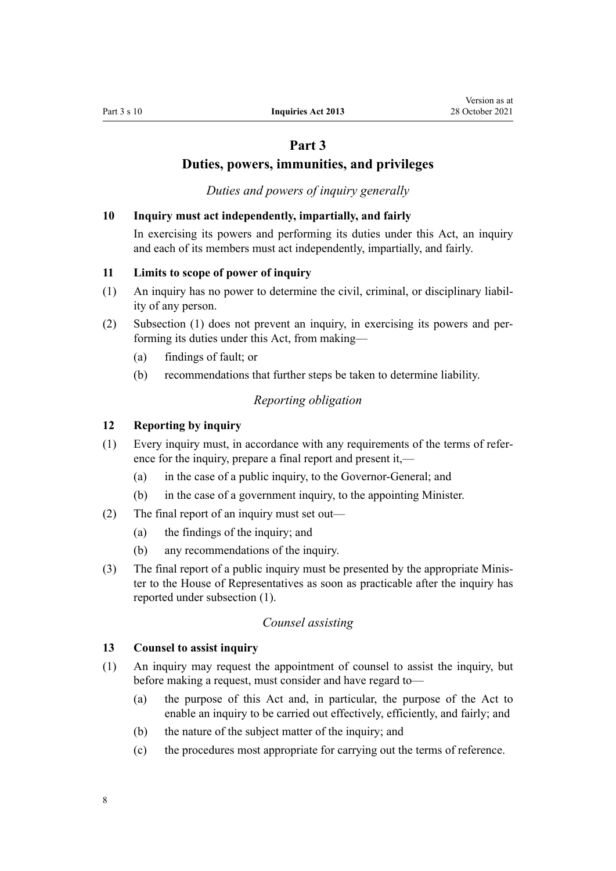# **Part 3**

# **Duties, powers, immunities, and privileges**

*Duties and powers of inquiry generally*

#### <span id="page-7-0"></span>**10 Inquiry must act independently, impartially, and fairly**

In exercising its powers and performing its duties under this Act, an inquiry and each of its members must act independently, impartially, and fairly.

#### **11 Limits to scope of power of inquiry**

- (1) An inquiry has no power to determine the civil, criminal, or disciplinary liabil‐ ity of any person.
- (2) Subsection (1) does not prevent an inquiry, in exercising its powers and per‐ forming its duties under this Act, from making—
	- (a) findings of fault; or
	- (b) recommendations that further steps be taken to determine liability.

#### *Reporting obligation*

#### **12 Reporting by inquiry**

- (1) Every inquiry must, in accordance with any requirements of the terms of refer‐ ence for the inquiry, prepare a final report and present it,—
	- (a) in the case of a public inquiry, to the Governor-General; and
	- (b) in the case of a government inquiry, to the appointing Minister.
- (2) The final report of an inquiry must set out—
	- (a) the findings of the inquiry; and
	- (b) any recommendations of the inquiry.
- (3) The final report of a public inquiry must be presented by the appropriate Minis‐ ter to the House of Representatives as soon as practicable after the inquiry has reported under subsection (1).

#### *Counsel assisting*

#### **13 Counsel to assist inquiry**

- (1) An inquiry may request the appointment of counsel to assist the inquiry, but before making a request, must consider and have regard to—
	- (a) the purpose of this Act and, in particular, the purpose of the Act to enable an inquiry to be carried out effectively, efficiently, and fairly; and
	- (b) the nature of the subject matter of the inquiry; and
	- (c) the procedures most appropriate for carrying out the terms of reference.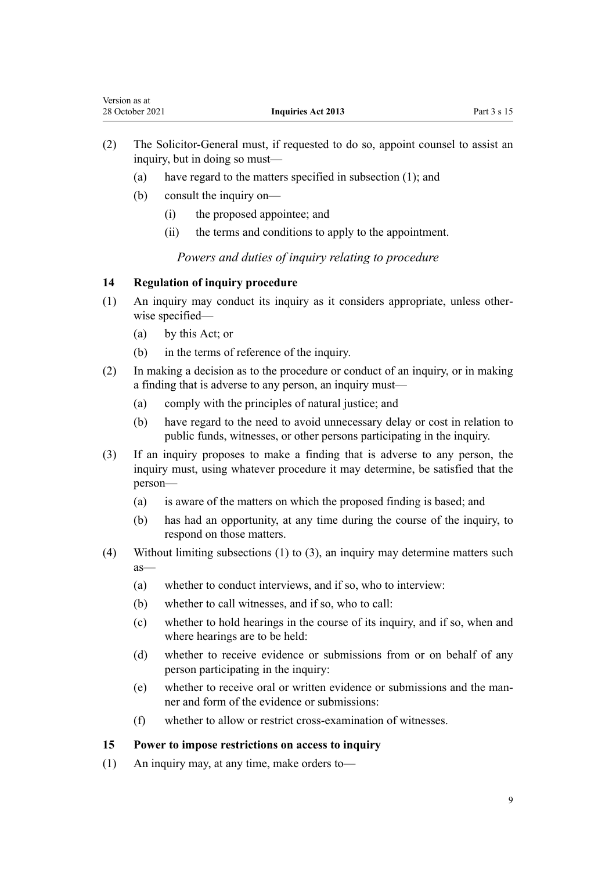- <span id="page-8-0"></span>(2) The Solicitor-General must, if requested to do so, appoint counsel to assist an inquiry, but in doing so must—
	- (a) have regard to the matters specified in subsection (1); and
	- (b) consult the inquiry on—
		- (i) the proposed appointee; and
		- (ii) the terms and conditions to apply to the appointment.

*Powers and duties of inquiry relating to procedure*

#### **14 Regulation of inquiry procedure**

- (1) An inquiry may conduct its inquiry as it considers appropriate, unless other‐ wise specified—
	- (a) by this Act; or
	- (b) in the terms of reference of the inquiry.
- (2) In making a decision as to the procedure or conduct of an inquiry, or in making a finding that is adverse to any person, an inquiry must—
	- (a) comply with the principles of natural justice; and
	- (b) have regard to the need to avoid unnecessary delay or cost in relation to public funds, witnesses, or other persons participating in the inquiry.
- (3) If an inquiry proposes to make a finding that is adverse to any person, the inquiry must, using whatever procedure it may determine, be satisfied that the person—
	- (a) is aware of the matters on which the proposed finding is based; and
	- (b) has had an opportunity, at any time during the course of the inquiry, to respond on those matters.
- (4) Without limiting subsections (1) to (3), an inquiry may determine matters such as—
	- (a) whether to conduct interviews, and if so, who to interview:
	- (b) whether to call witnesses, and if so, who to call:
	- (c) whether to hold hearings in the course of its inquiry, and if so, when and where hearings are to be held:
	- (d) whether to receive evidence or submissions from or on behalf of any person participating in the inquiry:
	- (e) whether to receive oral or written evidence or submissions and the man‐ ner and form of the evidence or submissions:
	- (f) whether to allow or restrict cross-examination of witnesses.

#### **15 Power to impose restrictions on access to inquiry**

(1) An inquiry may, at any time, make orders to—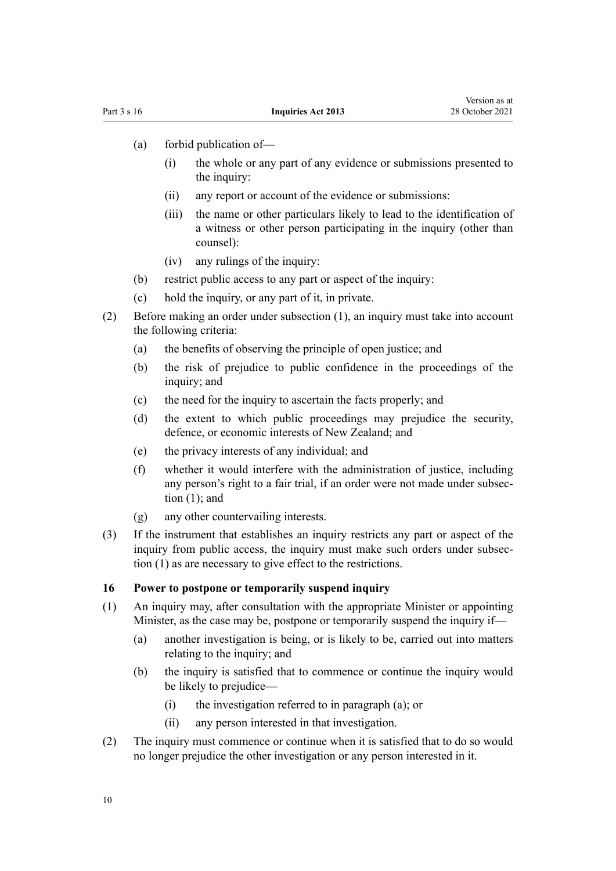- <span id="page-9-0"></span>(a) forbid publication of—
	- (i) the whole or any part of any evidence or submissions presented to the inquiry:
	- (ii) any report or account of the evidence or submissions:
	- (iii) the name or other particulars likely to lead to the identification of a witness or other person participating in the inquiry (other than counsel):
	- (iv) any rulings of the inquiry:
- (b) restrict public access to any part or aspect of the inquiry:
- (c) hold the inquiry, or any part of it, in private.
- (2) Before making an order under subsection (1), an inquiry must take into account the following criteria:
	- (a) the benefits of observing the principle of open justice; and
	- (b) the risk of prejudice to public confidence in the proceedings of the inquiry; and
	- (c) the need for the inquiry to ascertain the facts properly; and
	- (d) the extent to which public proceedings may prejudice the security, defence, or economic interests of New Zealand; and
	- (e) the privacy interests of any individual; and
	- (f) whether it would interfere with the administration of justice, including any person's right to a fair trial, if an order were not made under subsec‐ tion (1); and
	- (g) any other countervailing interests.
- (3) If the instrument that establishes an inquiry restricts any part or aspect of the inquiry from public access, the inquiry must make such orders under subsection (1) as are necessary to give effect to the restrictions.

#### **16 Power to postpone or temporarily suspend inquiry**

- (1) An inquiry may, after consultation with the appropriate Minister or appointing Minister, as the case may be, postpone or temporarily suspend the inquiry if—
	- (a) another investigation is being, or is likely to be, carried out into matters relating to the inquiry; and
	- (b) the inquiry is satisfied that to commence or continue the inquiry would be likely to prejudice—
		- (i) the investigation referred to in paragraph (a); or
		- (ii) any person interested in that investigation.
- (2) The inquiry must commence or continue when it is satisfied that to do so would no longer prejudice the other investigation or any person interested in it.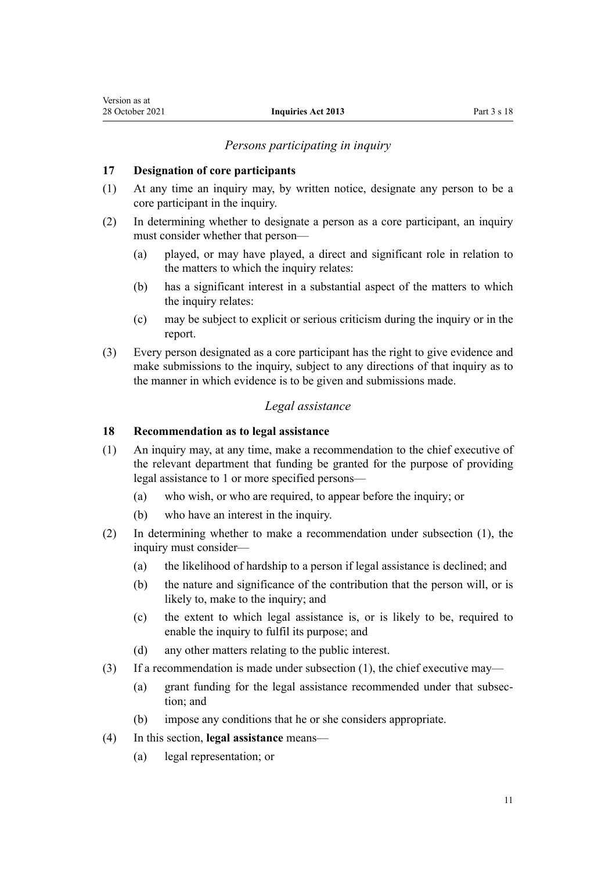#### *Persons participating in inquiry*

#### <span id="page-10-0"></span>**17 Designation of core participants**

- (1) At any time an inquiry may, by written notice, designate any person to be a core participant in the inquiry.
- (2) In determining whether to designate a person as a core participant, an inquiry must consider whether that person—
	- (a) played, or may have played, a direct and significant role in relation to the matters to which the inquiry relates:
	- (b) has a significant interest in a substantial aspect of the matters to which the inquiry relates:
	- (c) may be subject to explicit or serious criticism during the inquiry or in the report.
- (3) Every person designated as a core participant has the right to give evidence and make submissions to the inquiry, subject to any directions of that inquiry as to the manner in which evidence is to be given and submissions made.

#### *Legal assistance*

#### **18 Recommendation as to legal assistance**

- (1) An inquiry may, at any time, make a recommendation to the chief executive of the relevant department that funding be granted for the purpose of providing legal assistance to 1 or more specified persons—
	- (a) who wish, or who are required, to appear before the inquiry; or
	- (b) who have an interest in the inquiry.
- (2) In determining whether to make a recommendation under subsection (1), the inquiry must consider—
	- (a) the likelihood of hardship to a person if legal assistance is declined; and
	- (b) the nature and significance of the contribution that the person will, or is likely to, make to the inquiry; and
	- (c) the extent to which legal assistance is, or is likely to be, required to enable the inquiry to fulfil its purpose; and
	- (d) any other matters relating to the public interest.
- (3) If a recommendation is made under subsection (1), the chief executive may—
	- (a) grant funding for the legal assistance recommended under that subsec‐ tion; and
	- (b) impose any conditions that he or she considers appropriate.
- (4) In this section, **legal assistance** means—
	- (a) legal representation; or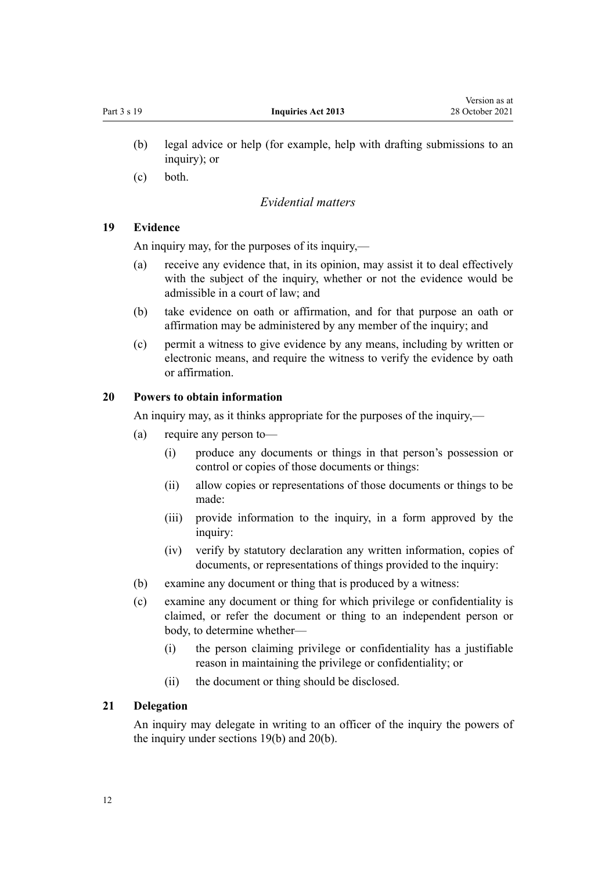- <span id="page-11-0"></span>(b) legal advice or help (for example, help with drafting submissions to an inquiry); or
- (c) both.

#### *Evidential matters*

#### **19 Evidence**

An inquiry may, for the purposes of its inquiry,—

- (a) receive any evidence that, in its opinion, may assist it to deal effectively with the subject of the inquiry, whether or not the evidence would be admissible in a court of law; and
- (b) take evidence on oath or affirmation, and for that purpose an oath or affirmation may be administered by any member of the inquiry; and
- (c) permit a witness to give evidence by any means, including by written or electronic means, and require the witness to verify the evidence by oath or affirmation.

#### **20 Powers to obtain information**

An inquiry may, as it thinks appropriate for the purposes of the inquiry,—

- (a) require any person to—
	- (i) produce any documents or things in that person's possession or control or copies of those documents or things:
	- (ii) allow copies or representations of those documents or things to be made:
	- (iii) provide information to the inquiry, in a form approved by the inquiry:
	- (iv) verify by statutory declaration any written information, copies of documents, or representations of things provided to the inquiry:
- (b) examine any document or thing that is produced by a witness:
- (c) examine any document or thing for which privilege or confidentiality is claimed, or refer the document or thing to an independent person or body, to determine whether—
	- (i) the person claiming privilege or confidentiality has a justifiable reason in maintaining the privilege or confidentiality; or
	- (ii) the document or thing should be disclosed.

#### **21 Delegation**

An inquiry may delegate in writing to an officer of the inquiry the powers of the inquiry under sections 19(b) and 20(b).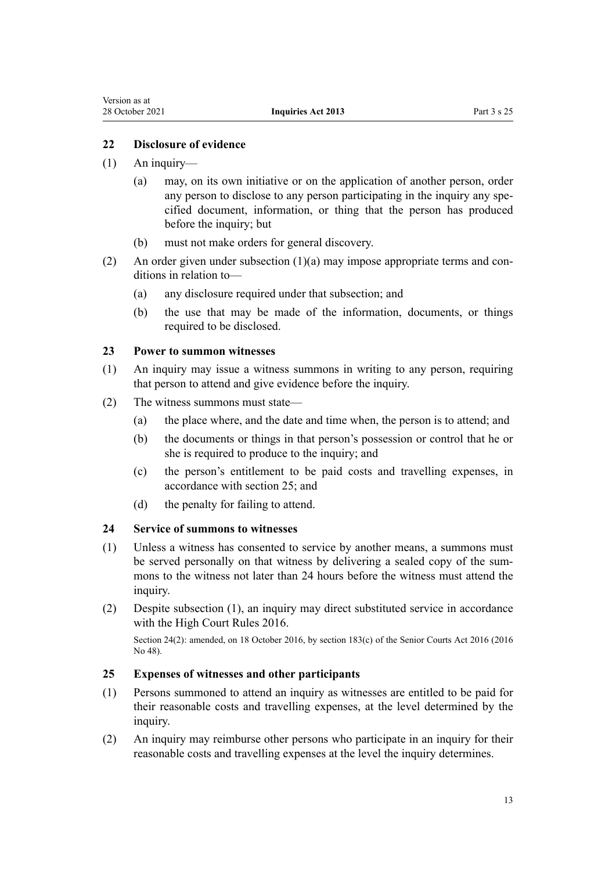#### <span id="page-12-0"></span>**22 Disclosure of evidence**

- (1) An inquiry—
	- (a) may, on its own initiative or on the application of another person, order any person to disclose to any person participating in the inquiry any specified document, information, or thing that the person has produced before the inquiry; but
	- (b) must not make orders for general discovery.
- (2) An order given under subsection  $(1)(a)$  may impose appropriate terms and conditions in relation to—
	- (a) any disclosure required under that subsection; and
	- (b) the use that may be made of the information, documents, or things required to be disclosed.

#### **23 Power to summon witnesses**

- (1) An inquiry may issue a witness summons in writing to any person, requiring that person to attend and give evidence before the inquiry.
- (2) The witness summons must state—
	- (a) the place where, and the date and time when, the person is to attend; and
	- (b) the documents or things in that person's possession or control that he or she is required to produce to the inquiry; and
	- (c) the person's entitlement to be paid costs and travelling expenses, in accordance with section 25; and
	- (d) the penalty for failing to attend.

#### **24 Service of summons to witnesses**

- (1) Unless a witness has consented to service by another means, a summons must be served personally on that witness by delivering a sealed copy of the summons to the witness not later than 24 hours before the witness must attend the inquiry.
- (2) Despite subsection (1), an inquiry may direct substituted service in accordance with the [High Court Rules 2016](http://legislation.govt.nz/pdflink.aspx?id=DLM6959800).

Section 24(2): amended, on 18 October 2016, by [section 183\(c\)](http://legislation.govt.nz/pdflink.aspx?id=DLM5759564) of the Senior Courts Act 2016 (2016 No 48).

#### **25 Expenses of witnesses and other participants**

- (1) Persons summoned to attend an inquiry as witnesses are entitled to be paid for their reasonable costs and travelling expenses, at the level determined by the inquiry.
- (2) An inquiry may reimburse other persons who participate in an inquiry for their reasonable costs and travelling expenses at the level the inquiry determines.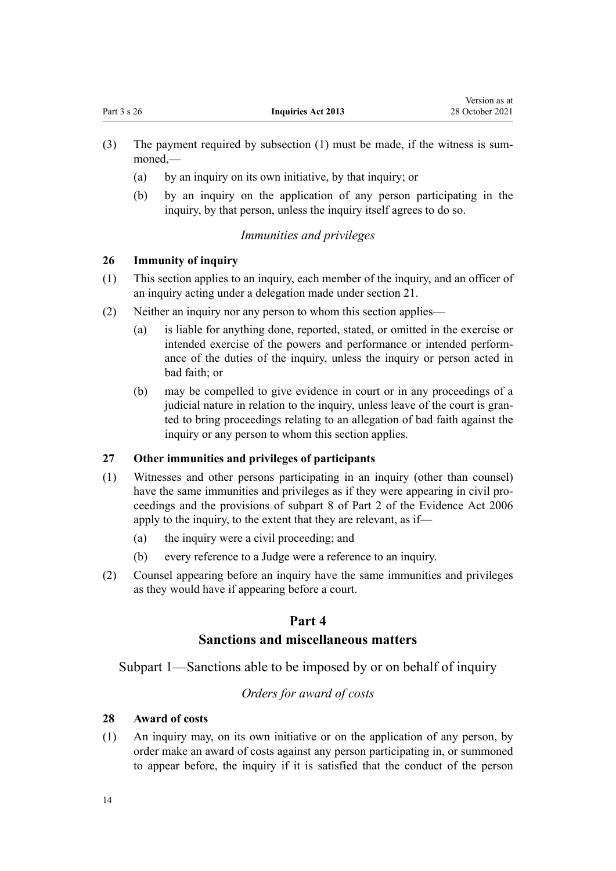- <span id="page-13-0"></span>(3) The payment required by subsection  $(1)$  must be made, if the witness is summoned,—
	- (a) by an inquiry on its own initiative, by that inquiry; or
	- (b) by an inquiry on the application of any person participating in the inquiry, by that person, unless the inquiry itself agrees to do so.

#### *Immunities and privileges*

#### **26 Immunity of inquiry**

- (1) This section applies to an inquiry, each member of the inquiry, and an officer of an inquiry acting under a delegation made under [section 21.](#page-11-0)
- (2) Neither an inquiry nor any person to whom this section applies—
	- (a) is liable for anything done, reported, stated, or omitted in the exercise or intended exercise of the powers and performance or intended perform‐ ance of the duties of the inquiry, unless the inquiry or person acted in bad faith; or
	- (b) may be compelled to give evidence in court or in any proceedings of a judicial nature in relation to the inquiry, unless leave of the court is granted to bring proceedings relating to an allegation of bad faith against the inquiry or any person to whom this section applies.

### **27 Other immunities and privileges of participants**

- (1) Witnesses and other persons participating in an inquiry (other than counsel) have the same immunities and privileges as if they were appearing in civil proceedings and the provisions of [subpart 8](http://legislation.govt.nz/pdflink.aspx?id=DLM393646) of Part 2 of the Evidence Act 2006 apply to the inquiry, to the extent that they are relevant, as if—
	- (a) the inquiry were a civil proceeding; and
	- (b) every reference to a Judge were a reference to an inquiry.
- (2) Counsel appearing before an inquiry have the same immunities and privileges as they would have if appearing before a court.

### **Part 4**

### **Sanctions and miscellaneous matters**

Subpart 1—Sanctions able to be imposed by or on behalf of inquiry

#### *Orders for award of costs*

#### **28 Award of costs**

(1) An inquiry may, on its own initiative or on the application of any person, by order make an award of costs against any person participating in, or summoned to appear before, the inquiry if it is satisfied that the conduct of the person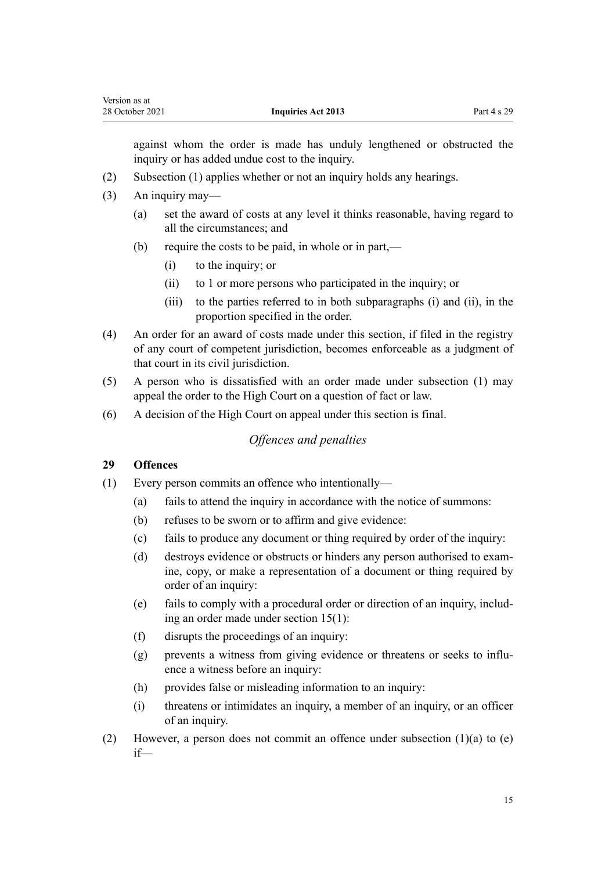<span id="page-14-0"></span>against whom the order is made has unduly lengthened or obstructed the inquiry or has added undue cost to the inquiry.

- (2) Subsection (1) applies whether or not an inquiry holds any hearings.
- (3) An inquiry may—
	- (a) set the award of costs at any level it thinks reasonable, having regard to all the circumstances; and
	- (b) require the costs to be paid, in whole or in part,—
		- (i) to the inquiry; or
		- (ii) to 1 or more persons who participated in the inquiry; or
		- (iii) to the parties referred to in both subparagraphs (i) and (ii), in the proportion specified in the order.
- (4) An order for an award of costs made under this section, if filed in the registry of any court of competent jurisdiction, becomes enforceable as a judgment of that court in its civil jurisdiction.
- (5) A person who is dissatisfied with an order made under subsection (1) may appeal the order to the High Court on a question of fact or law.
- (6) A decision of the High Court on appeal under this section is final.

### *Offences and penalties*

#### **29 Offences**

- (1) Every person commits an offence who intentionally—
	- (a) fails to attend the inquiry in accordance with the notice of summons:
	- (b) refuses to be sworn or to affirm and give evidence:
	- (c) fails to produce any document or thing required by order of the inquiry:
	- (d) destroys evidence or obstructs or hinders any person authorised to exam‐ ine, copy, or make a representation of a document or thing required by order of an inquiry:
	- (e) fails to comply with a procedural order or direction of an inquiry, includ‐ ing an order made under [section 15\(1\):](#page-8-0)
	- (f) disrupts the proceedings of an inquiry:
	- (g) prevents a witness from giving evidence or threatens or seeks to influence a witness before an inquiry:
	- (h) provides false or misleading information to an inquiry:
	- (i) threatens or intimidates an inquiry, a member of an inquiry, or an officer of an inquiry.
- (2) However, a person does not commit an offence under subsection (1)(a) to (e) if—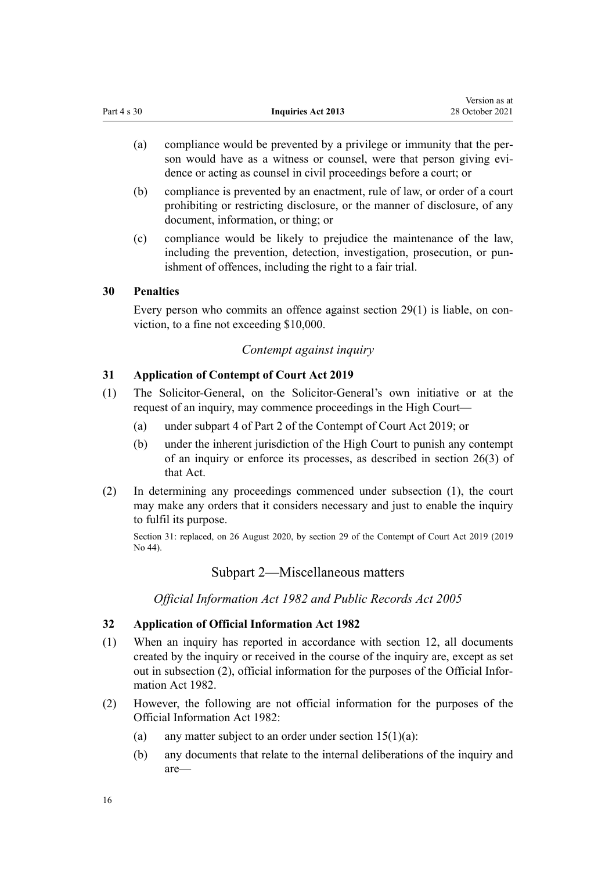- <span id="page-15-0"></span>(a) compliance would be prevented by a privilege or immunity that the per‐ son would have as a witness or counsel, were that person giving evidence or acting as counsel in civil proceedings before a court; or
- (b) compliance is prevented by an enactment, rule of law, or order of a court prohibiting or restricting disclosure, or the manner of disclosure, of any document, information, or thing; or
- (c) compliance would be likely to prejudice the maintenance of the law, including the prevention, detection, investigation, prosecution, or punishment of offences, including the right to a fair trial.

#### **30 Penalties**

Every person who commits an offence against [section 29\(1\)](#page-14-0) is liable, on conviction, to a fine not exceeding \$10,000.

#### *Contempt against inquiry*

#### **31 Application of Contempt of Court Act 2019**

- (1) The Solicitor-General, on the Solicitor-General's own initiative or at the request of an inquiry, may commence proceedings in the High Court—
	- (a) under [subpart 4](http://legislation.govt.nz/pdflink.aspx?id=LMS24824) of Part 2 of the Contempt of Court Act 2019; or
	- (b) under the inherent jurisdiction of the High Court to punish any contempt of an inquiry or enforce its processes, as described in [section 26\(3\)](http://legislation.govt.nz/pdflink.aspx?id=LMS24836) of that Act.
- (2) In determining any proceedings commenced under subsection (1), the court may make any orders that it considers necessary and just to enable the inquiry to fulfil its purpose.

Section 31: replaced, on 26 August 2020, by [section 29](http://legislation.govt.nz/pdflink.aspx?id=LMS24838) of the Contempt of Court Act 2019 (2019 No 44).

#### Subpart 2—Miscellaneous matters

*Official Information Act 1982 and Public Records Act 2005*

#### **32 Application of Official Information Act 1982**

- (1) When an inquiry has reported in accordance with [section 12](#page-7-0), all documents created by the inquiry or received in the course of the inquiry are, except as set out in subsection (2), official information for the purposes of the [Official Infor‐](http://legislation.govt.nz/pdflink.aspx?id=DLM64784) [mation Act 1982.](http://legislation.govt.nz/pdflink.aspx?id=DLM64784)
- (2) However, the following are not official information for the purposes of the [Official Information Act 1982:](http://legislation.govt.nz/pdflink.aspx?id=DLM64784)
	- (a) any matter subject to an order under section  $15(1)(a)$ :
	- (b) any documents that relate to the internal deliberations of the inquiry and are—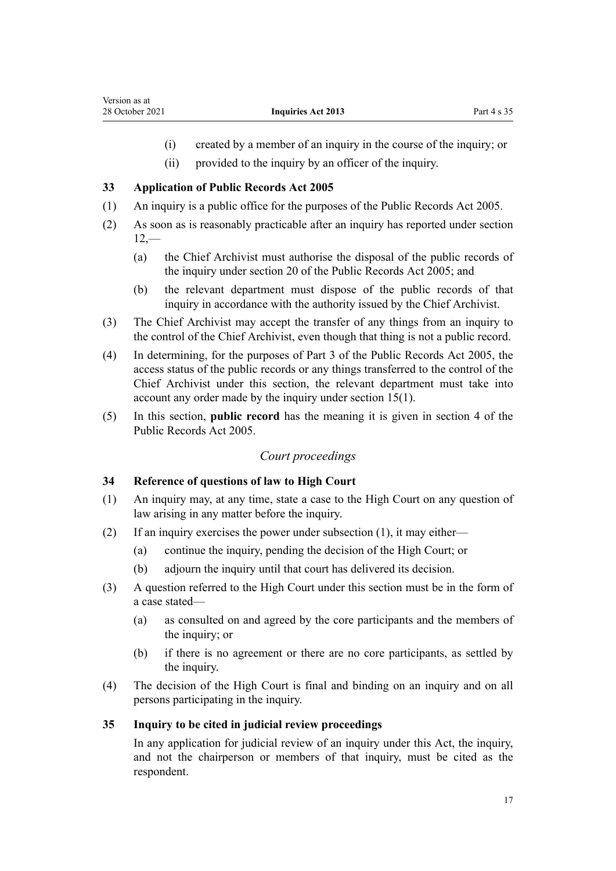- (i) created by a member of an inquiry in the course of the inquiry; or
- (ii) provided to the inquiry by an officer of the inquiry.

#### <span id="page-16-0"></span>**33 Application of Public Records Act 2005**

- (1) An inquiry is a public office for the purposes of the [Public Records Act 2005.](http://legislation.govt.nz/pdflink.aspx?id=DLM345528)
- (2) As soon as is reasonably practicable after an inquiry has reported under [section](#page-7-0)  $12, -$ 
	- (a) the Chief Archivist must authorise the disposal of the public records of the inquiry under [section 20](http://legislation.govt.nz/pdflink.aspx?id=DLM345735) of the Public Records Act 2005; and
	- (b) the relevant department must dispose of the public records of that inquiry in accordance with the authority issued by the Chief Archivist.
- (3) The Chief Archivist may accept the transfer of any things from an inquiry to the control of the Chief Archivist, even though that thing is not a public record.
- (4) In determining, for the purposes of [Part 3](http://legislation.govt.nz/pdflink.aspx?id=DLM345769) of the Public Records Act 2005, the access status of the public records or any things transferred to the control of the Chief Archivist under this section, the relevant department must take into account any order made by the inquiry under [section 15\(1\)](#page-8-0).
- (5) In this section, **public record** has the meaning it is given in [section 4](http://legislation.govt.nz/pdflink.aspx?id=DLM345537) of the Public Records Act 2005.

#### *Court proceedings*

#### **34 Reference of questions of law to High Court**

- (1) An inquiry may, at any time, state a case to the High Court on any question of law arising in any matter before the inquiry.
- (2) If an inquiry exercises the power under subsection (1), it may either—
	- (a) continue the inquiry, pending the decision of the High Court; or
	- (b) adjourn the inquiry until that court has delivered its decision.
- (3) A question referred to the High Court under this section must be in the form of a case stated—
	- (a) as consulted on and agreed by the core participants and the members of the inquiry; or
	- (b) if there is no agreement or there are no core participants, as settled by the inquiry.
- (4) The decision of the High Court is final and binding on an inquiry and on all persons participating in the inquiry.

#### **35 Inquiry to be cited in judicial review proceedings**

In any application for judicial review of an inquiry under this Act, the inquiry, and not the chairperson or members of that inquiry, must be cited as the respondent.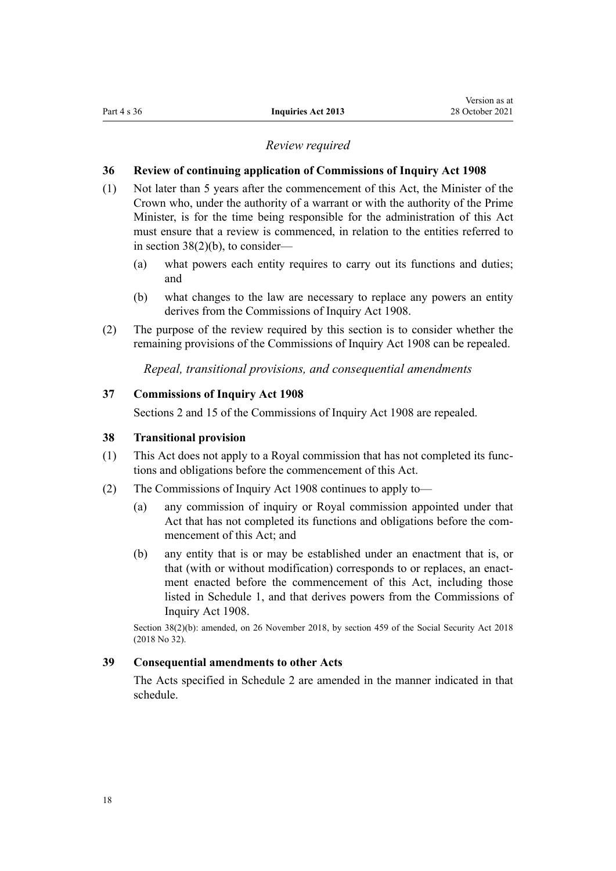#### *Review required*

#### <span id="page-17-0"></span>**36 Review of continuing application of Commissions of Inquiry Act 1908**

- (1) Not later than 5 years after the commencement of this Act, the Minister of the Crown who, under the authority of a warrant or with the authority of the Prime Minister, is for the time being responsible for the administration of this Act must ensure that a review is commenced, in relation to the entities referred to in section 38(2)(b), to consider—
	- (a) what powers each entity requires to carry out its functions and duties; and
	- (b) what changes to the law are necessary to replace any powers an entity derives from the [Commissions of Inquiry Act 1908.](http://legislation.govt.nz/pdflink.aspx?id=DLM139130)
- (2) The purpose of the review required by this section is to consider whether the remaining provisions of the [Commissions of Inquiry Act 1908](http://legislation.govt.nz/pdflink.aspx?id=DLM139130) can be repealed.

*Repeal, transitional provisions, and consequential amendments*

#### **37 Commissions of Inquiry Act 1908**

[Sections 2](http://legislation.govt.nz/pdflink.aspx?id=DLM139140) and [15](http://legislation.govt.nz/pdflink.aspx?id=DLM139193) of the Commissions of Inquiry Act 1908 are repealed.

#### **38 Transitional provision**

- (1) This Act does not apply to a Royal commission that has not completed its func‐ tions and obligations before the commencement of this Act.
- (2) The [Commissions of Inquiry Act 1908](http://legislation.govt.nz/pdflink.aspx?id=DLM139130) continues to apply to—
	- (a) any commission of inquiry or Royal commission appointed under that Act that has not completed its functions and obligations before the commencement of this Act; and
	- (b) any entity that is or may be established under an enactment that is, or that (with or without modification) corresponds to or replaces, an enactment enacted before the commencement of this Act, including those listed in [Schedule 1,](#page-18-0) and that derives powers from the [Commissions of](http://legislation.govt.nz/pdflink.aspx?id=DLM139130) [Inquiry Act 1908](http://legislation.govt.nz/pdflink.aspx?id=DLM139130).

Section 38(2)(b): amended, on 26 November 2018, by [section 459](http://legislation.govt.nz/pdflink.aspx?id=DLM6784038) of the Social Security Act 2018 (2018 No 32).

# **39 Consequential amendments to other Acts**

The Acts specified in [Schedule 2](#page-20-0) are amended in the manner indicated in that schedule.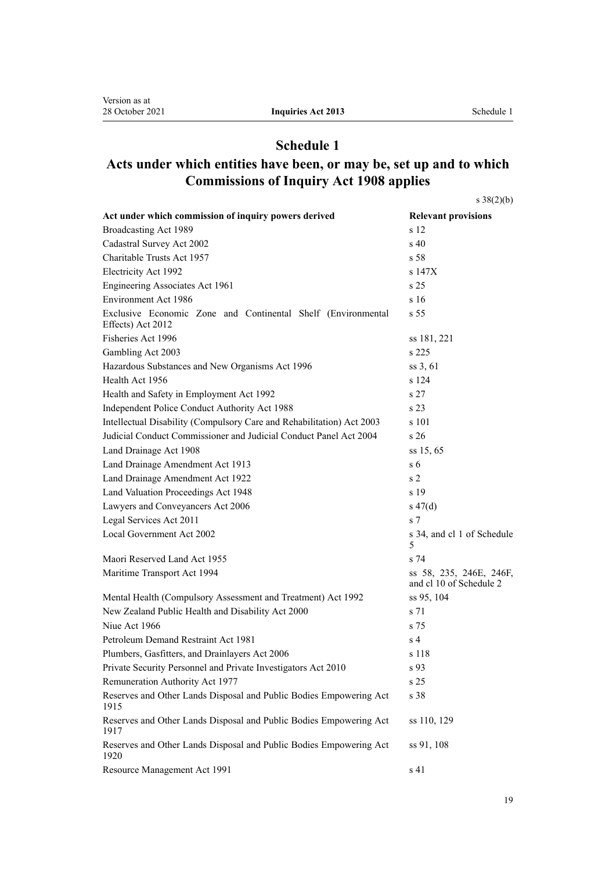# **Schedule 1**

# <span id="page-18-0"></span>**Acts under which entities have been, or may be, set up and to which Commissions of Inquiry Act 1908 applies**

[s 38\(2\)\(b\)](#page-17-0)

| Act under which commission of inquiry powers derived                              | <b>Relevant provisions</b>                         |
|-----------------------------------------------------------------------------------|----------------------------------------------------|
| Broadcasting Act 1989                                                             | s 12                                               |
| Cadastral Survey Act 2002                                                         | s <sub>40</sub>                                    |
| Charitable Trusts Act 1957                                                        | s <sub>58</sub>                                    |
| Electricity Act 1992                                                              | s 147X                                             |
| Engineering Associates Act 1961                                                   | s <sub>25</sub>                                    |
| Environment Act 1986                                                              | s <sub>16</sub>                                    |
| Exclusive Economic Zone and Continental Shelf (Environmental<br>Effects) Act 2012 | s <sub>55</sub>                                    |
| Fisheries Act 1996                                                                | ss 181, 221                                        |
| Gambling Act 2003                                                                 | s 225                                              |
| Hazardous Substances and New Organisms Act 1996                                   | ss 3, 61                                           |
| Health Act 1956                                                                   | s 124                                              |
| Health and Safety in Employment Act 1992                                          | s <sub>27</sub>                                    |
| Independent Police Conduct Authority Act 1988                                     | s <sub>23</sub>                                    |
| Intellectual Disability (Compulsory Care and Rehabilitation) Act 2003             | s 101                                              |
| Judicial Conduct Commissioner and Judicial Conduct Panel Act 2004                 | s 26                                               |
| Land Drainage Act 1908                                                            | ss 15, 65                                          |
| Land Drainage Amendment Act 1913                                                  | s <sub>6</sub>                                     |
| Land Drainage Amendment Act 1922                                                  | s <sub>2</sub>                                     |
| Land Valuation Proceedings Act 1948                                               | s 19                                               |
| Lawyers and Conveyancers Act 2006                                                 | $s\ 47(d)$                                         |
| Legal Services Act 2011                                                           | s <sub>7</sub>                                     |
| Local Government Act 2002                                                         | s 34, and cl 1 of Schedule<br>5                    |
| Maori Reserved Land Act 1955                                                      | s <sub>74</sub>                                    |
| Maritime Transport Act 1994                                                       | ss 58, 235, 246E, 246F,<br>and cl 10 of Schedule 2 |
| Mental Health (Compulsory Assessment and Treatment) Act 1992                      | ss 95, 104                                         |
| New Zealand Public Health and Disability Act 2000                                 | s 71                                               |
| Niue Act 1966                                                                     | s 75                                               |
| Petroleum Demand Restraint Act 1981                                               | s <sub>4</sub>                                     |
| Plumbers, Gasfitters, and Drainlayers Act 2006                                    | s 118                                              |
| Private Security Personnel and Private Investigators Act 2010                     | s 93                                               |
| Remuneration Authority Act 1977                                                   | s <sub>25</sub>                                    |
| Reserves and Other Lands Disposal and Public Bodies Empowering Act<br>1915        | s 38                                               |
| Reserves and Other Lands Disposal and Public Bodies Empowering Act<br>1917        | ss 110, 129                                        |
| Reserves and Other Lands Disposal and Public Bodies Empowering Act<br>1920        | ss 91, 108                                         |
| Resource Management Act 1991                                                      | s 41                                               |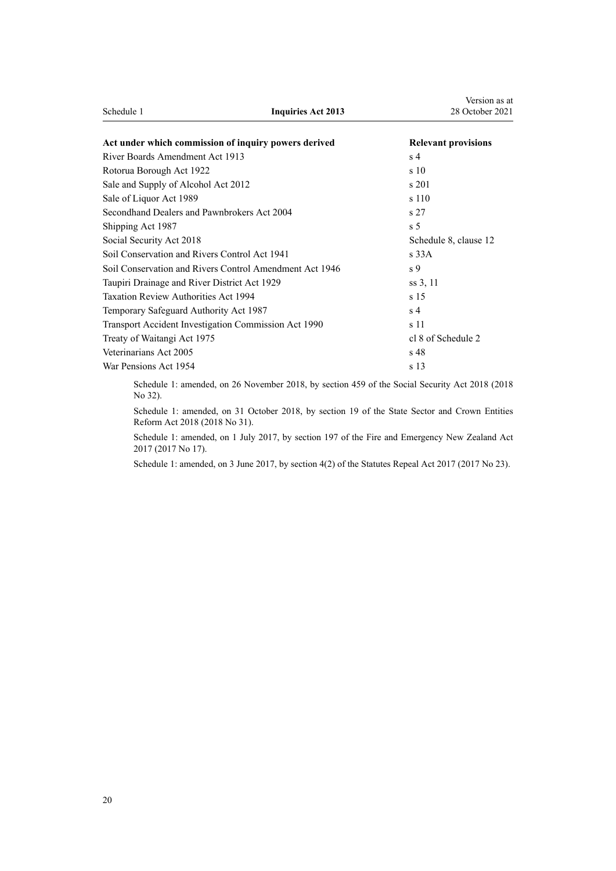| Schedule 1                                              | <b>Inquiries Act 2013</b> | 28 October 2021            |
|---------------------------------------------------------|---------------------------|----------------------------|
| Act under which commission of inquiry powers derived    |                           | <b>Relevant provisions</b> |
| River Boards Amendment Act 1913                         |                           | s <sub>4</sub>             |
| Rotorua Borough Act 1922                                |                           | s <sub>10</sub>            |
| Sale and Supply of Alcohol Act 2012                     |                           | s 201                      |
| Sale of Liquor Act 1989                                 |                           | s 110                      |
| Secondhand Dealers and Pawnbrokers Act 2004             |                           | s <sub>27</sub>            |
| Shipping Act 1987                                       |                           | s <sub>5</sub>             |
| Social Security Act 2018                                |                           | Schedule 8, clause 12      |
| Soil Conservation and Rivers Control Act 1941           |                           | s33A                       |
| Soil Conservation and Rivers Control Amendment Act 1946 |                           | s 9                        |
| Taupiri Drainage and River District Act 1929            |                           | ss 3, 11                   |
| <b>Taxation Review Authorities Act 1994</b>             |                           | s <sub>15</sub>            |
| Temporary Safeguard Authority Act 1987                  |                           | s <sub>4</sub>             |
| Transport Accident Investigation Commission Act 1990    |                           | s 11                       |
| Treaty of Waitangi Act 1975                             |                           | cl 8 of Schedule 2         |
| Veterinarians Act 2005                                  |                           | s <sub>48</sub>            |
| War Pensions Act 1954                                   |                           | s 13                       |

Version as at

Schedule 1: amended, on 26 November 2018, by [section 459](http://legislation.govt.nz/pdflink.aspx?id=DLM6784038) of the Social Security Act 2018 (2018 No 32).

Schedule 1: amended, on 31 October 2018, by [section 19](http://legislation.govt.nz/pdflink.aspx?id=LMS11223) of the State Sector and Crown Entities Reform Act 2018 (2018 No 31).

Schedule 1: amended, on 1 July 2017, by [section 197](http://legislation.govt.nz/pdflink.aspx?id=DLM6678752) of the Fire and Emergency New Zealand Act 2017 (2017 No 17).

Schedule 1: amended, on 3 June 2017, by [section 4\(2\)](http://legislation.govt.nz/pdflink.aspx?id=DLM6807613) of the Statutes Repeal Act 2017 (2017 No 23).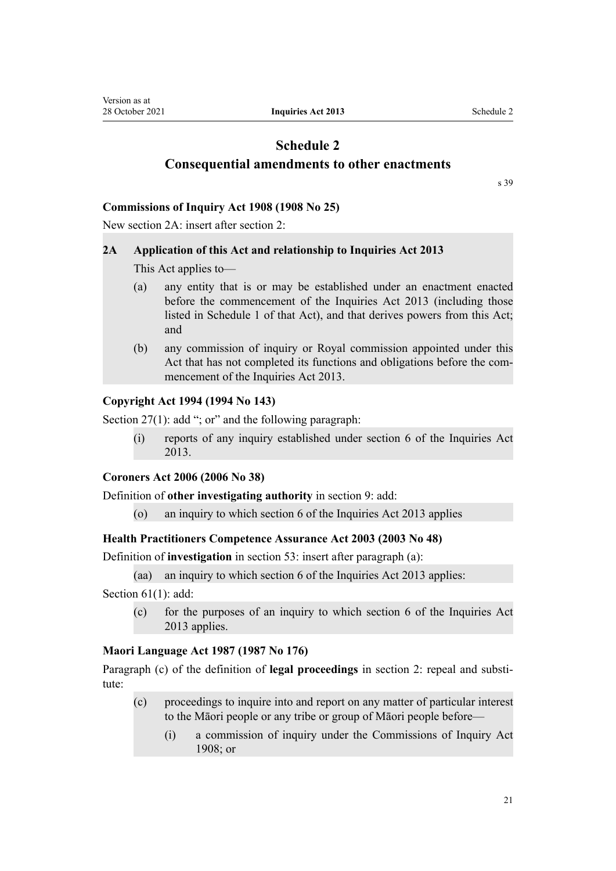# <span id="page-20-0"></span>**Schedule 2 Consequential amendments to other enactments**

[s 39](#page-17-0)

#### **Commissions of Inquiry Act 1908 (1908 No 25)**

New section 2A: insert after [section 2:](http://legislation.govt.nz/pdflink.aspx?id=DLM139140)

#### **2A Application of this Act and relationship to Inquiries Act 2013**

This Act applies to—

- (a) any entity that is or may be established under an enactment enacted before the commencement of the Inquiries Act 2013 (including those listed in Schedule 1 of that Act), and that derives powers from this Act; and
- (b) any commission of inquiry or Royal commission appointed under this Act that has not completed its functions and obligations before the commencement of the Inquiries Act 2013.

#### **Copyright Act 1994 (1994 No 143)**

[Section 27\(1\)](http://legislation.govt.nz/pdflink.aspx?id=DLM345939): add "; or" and the following paragraph:

(i) reports of any inquiry established under section 6 of the Inquiries Act 2013.

#### **Coroners Act 2006 (2006 No 38)**

Definition of **other investigating authority** in [section 9](http://legislation.govt.nz/pdflink.aspx?id=DLM377069): add:

(o) an inquiry to which section 6 of the Inquiries Act 2013 applies

#### **Health Practitioners Competence Assurance Act 2003 (2003 No 48)**

Definition of **investigation** in [section 53](http://legislation.govt.nz/pdflink.aspx?id=DLM203835): insert after paragraph (a):

(aa) an inquiry to which section 6 of the Inquiries Act 2013 applies:

[Section 61\(1\)](http://legislation.govt.nz/pdflink.aspx?id=DLM203862): add:

(c) for the purposes of an inquiry to which section 6 of the Inquiries Act 2013 applies.

#### **Maori Language Act 1987 (1987 No 176)**

Paragraph (c) of the definition of **legal proceedings** in [section 2](http://legislation.govt.nz/pdflink.aspx?id=DLM124124): repeal and substitute:

- (c) proceedings to inquire into and report on any matter of particular interest to the Māori people or any tribe or group of Māori people before—
	- (i) a commission of inquiry under the Commissions of Inquiry Act 1908; or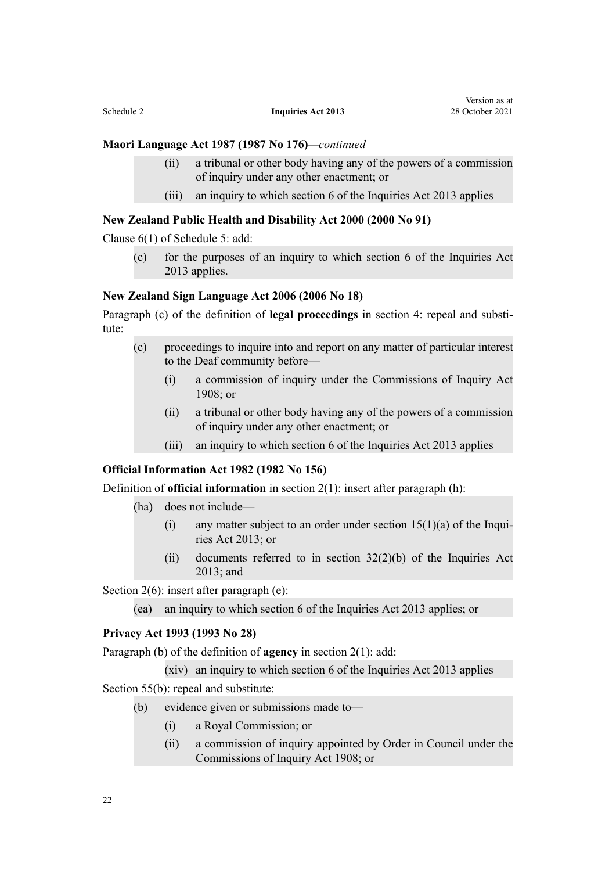#### **Maori Language Act 1987 (1987 No 176)***—continued*

- (ii) a tribunal or other body having any of the powers of a commission of inquiry under any other enactment; or
- (iii) an inquiry to which section 6 of the Inquiries Act 2013 applies

#### **New Zealand Public Health and Disability Act 2000 (2000 No 91)**

[Clause 6\(1\)](http://legislation.govt.nz/pdflink.aspx?id=DLM4587070) of Schedule 5: add:

(c) for the purposes of an inquiry to which section 6 of the Inquiries Act 2013 applies.

#### **New Zealand Sign Language Act 2006 (2006 No 18)**

Paragraph (c) of the definition of **legal proceedings** in [section 4](http://legislation.govt.nz/pdflink.aspx?id=DLM372761): repeal and substitute:

- (c) proceedings to inquire into and report on any matter of particular interest to the Deaf community before—
	- (i) a commission of inquiry under the Commissions of Inquiry Act 1908; or
	- (ii) a tribunal or other body having any of the powers of a commission of inquiry under any other enactment; or
	- (iii) an inquiry to which section 6 of the Inquiries Act 2013 applies

#### **Official Information Act 1982 (1982 No 156)**

Definition of **official information** in [section 2\(1\):](http://legislation.govt.nz/pdflink.aspx?id=DLM64790) insert after paragraph (h):

- (ha) does not include—
	- (i) any matter subject to an order under section  $15(1)(a)$  of the Inquiries Act 2013; or
	- (ii) documents referred to in section 32(2)(b) of the Inquiries Act 2013; and

[Section 2\(6\):](http://legislation.govt.nz/pdflink.aspx?id=DLM64790) insert after paragraph (e):

(ea) an inquiry to which section 6 of the Inquiries Act 2013 applies; or

#### **Privacy Act 1993 (1993 No 28)**

Paragraph (b) of the definition of **agency** in [section 2\(1\):](http://legislation.govt.nz/pdflink.aspx?id=DLM296645) add:

(xiv) an inquiry to which section 6 of the Inquiries Act 2013 applies

[Section 55\(b\)](http://legislation.govt.nz/pdflink.aspx?id=DLM297420): repeal and substitute:

- (b) evidence given or submissions made to—
	- (i) a Royal Commission; or
	- (ii) a commission of inquiry appointed by Order in Council under the Commissions of Inquiry Act 1908; or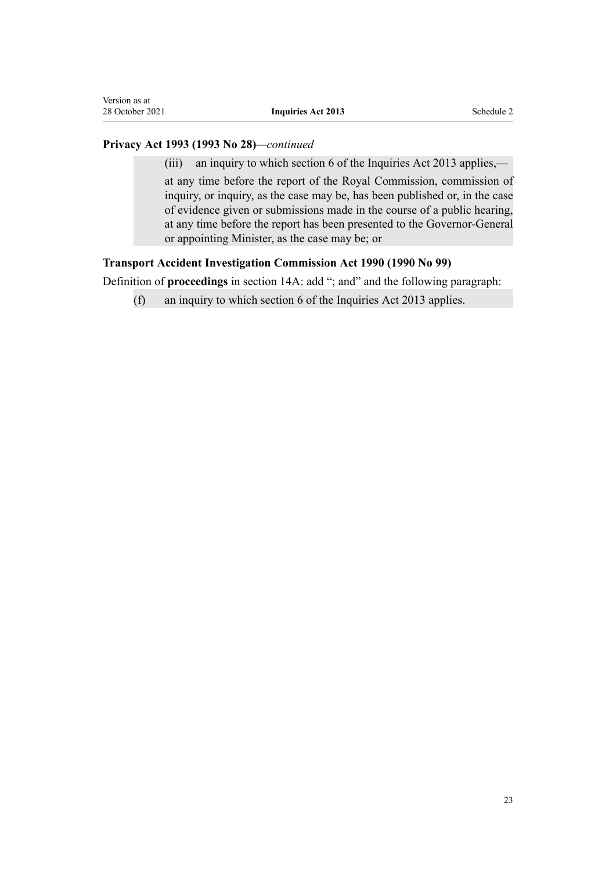#### **Privacy Act 1993 (1993 No 28)***—continued*

(iii) an inquiry to which section 6 of the Inquiries Act 2013 applies,—

at any time before the report of the Royal Commission, commission of inquiry, or inquiry, as the case may be, has been published or, in the case of evidence given or submissions made in the course of a public hearing, at any time before the report has been presented to the Governor-General or appointing Minister, as the case may be; or

#### **Transport Accident Investigation Commission Act 1990 (1990 No 99)**

Definition of **proceedings** in [section 14A](http://legislation.govt.nz/pdflink.aspx?id=DLM221853): add "; and" and the following paragraph:

(f) an inquiry to which section 6 of the Inquiries Act 2013 applies.